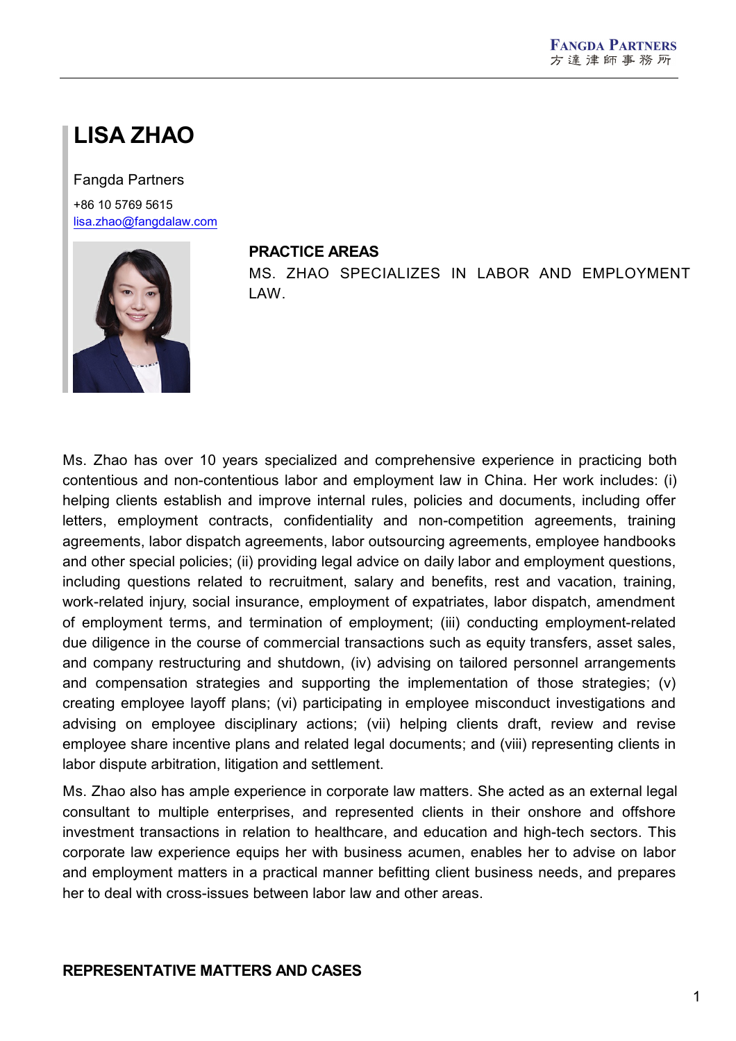# **LISA ZHAO**

#### Fangda Partners

+86 10 5769 5615 [lisa.zhao@fangdalaw.com](mailto:lisa.zhao@fangdalaw.com)



#### **PRACTICE AREAS**

MS. ZHAO SPECIALIZES IN LABOR AND EMPLOYMENT LAW.

Ms. Zhao has over 10 years specialized and comprehensive experience in practicing both contentious and non-contentious labor and employment law in China. Her work includes: (i) helping clients establish and improve internal rules, policies and documents, including offer letters, employment contracts, confidentiality and non-competition agreements, training agreements, labor dispatch agreements, labor outsourcing agreements, employee handbooks and other special policies; (ii) providing legal advice on daily labor and employment questions, including questions related to recruitment, salary and benefits, rest and vacation, training, work-related injury, social insurance, employment of expatriates, labor dispatch, amendment of employment terms, and termination of employment; (iii) conducting employment-related due diligence in the course of commercial transactions such as equity transfers, asset sales, and company restructuring and shutdown, (iv) advising on tailored personnel arrangements and compensation strategies and supporting the implementation of those strategies: (v) creating employee layoff plans; (vi) participating in employee misconduct investigations and advising on employee disciplinary actions; (vii) helping clients draft, review and revise employee share incentive plans and related legal documents; and (viii) representing clients in labor dispute arbitration, litigation and settlement.

Ms. Zhao also has ample experience in corporate law matters. She acted as an external legal consultant to multiple enterprises, and represented clients in their onshore and offshore investment transactions in relation to healthcare, and education and high-tech sectors. This corporate law experience equips her with business acumen, enables her to advise on labor and employment matters in a practical manner befitting client business needs, and prepares her to deal with cross-issues between labor law and other areas.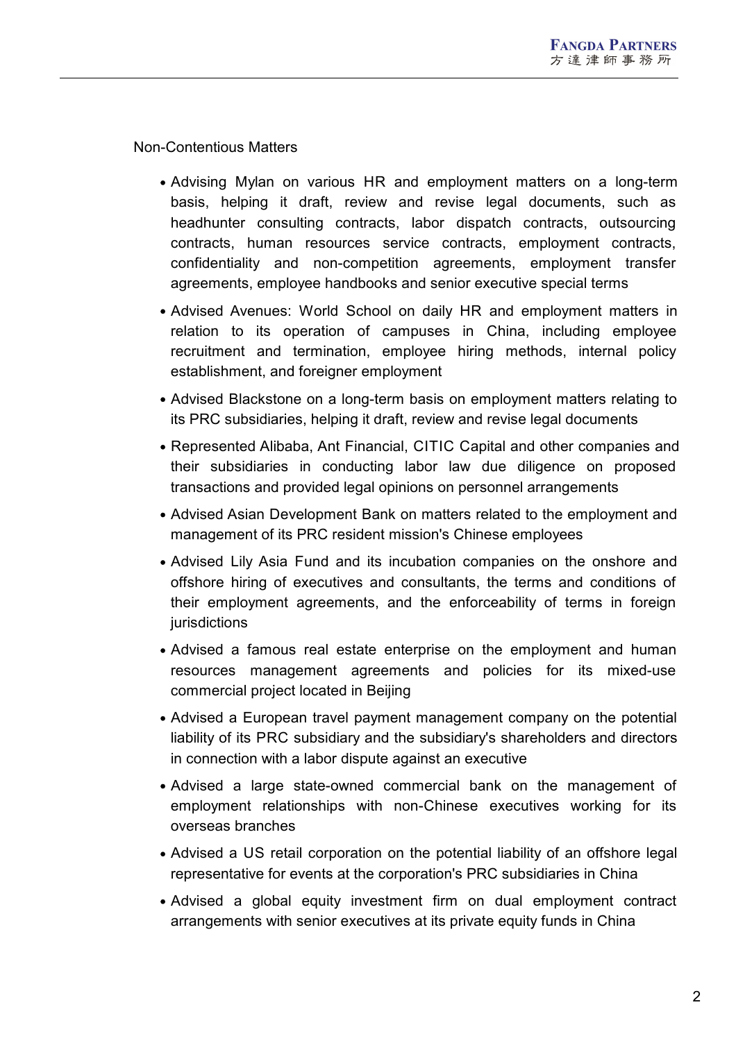Non-Contentious Matters

- Advising Mylan on various HR and employment matters on a long-term basis, helping it draft, review and revise legal documents, such as headhunter consulting contracts, labor dispatch contracts, outsourcing contracts, human resources service contracts, employment contracts, confidentiality and non-competition agreements, employment transfer agreements, employee handbooks and senior executive special terms
- Advised Avenues: World School on daily HR and employment matters in relation to its operation of campuses in China, including employee recruitment and termination, employee hiring methods, internal policy establishment, and foreigner employment
- Advised Blackstone on a long-term basis on employment matters relating to its PRC subsidiaries, helping it draft, review and revise legal documents
- Represented Alibaba, Ant Financial, CITIC Capital and other companies and their subsidiaries in conducting labor law due diligence on proposed transactions and provided legal opinions on personnel arrangements
- Advised Asian Development Bank on matters related to the employment and management of its PRC resident mission's Chinese employees
- Advised Lily Asia Fund and its incubation companies on the onshore and offshore hiring of executives and consultants, the terms and conditions of their employment agreements, and the enforceability of terms in foreign iurisdictions
- Advised a famous real estate enterprise on the employment and human resources management agreements and policies for its mixed-use commercial project located in Beijing
- Advised a European travel payment management company on the potential liability of its PRC subsidiary and the subsidiary's shareholders and directors in connection with a labor dispute against an executive
- Advised a large state-owned commercial bank on the management of employment relationships with non-Chinese executives working for its overseas branches
- Advised a US retail corporation on the potential liability of an offshore legal representative for events at the corporation's PRC subsidiaries in China
- Advised a global equity investment firm on dual employment contract arrangements with senior executives at its private equity funds in China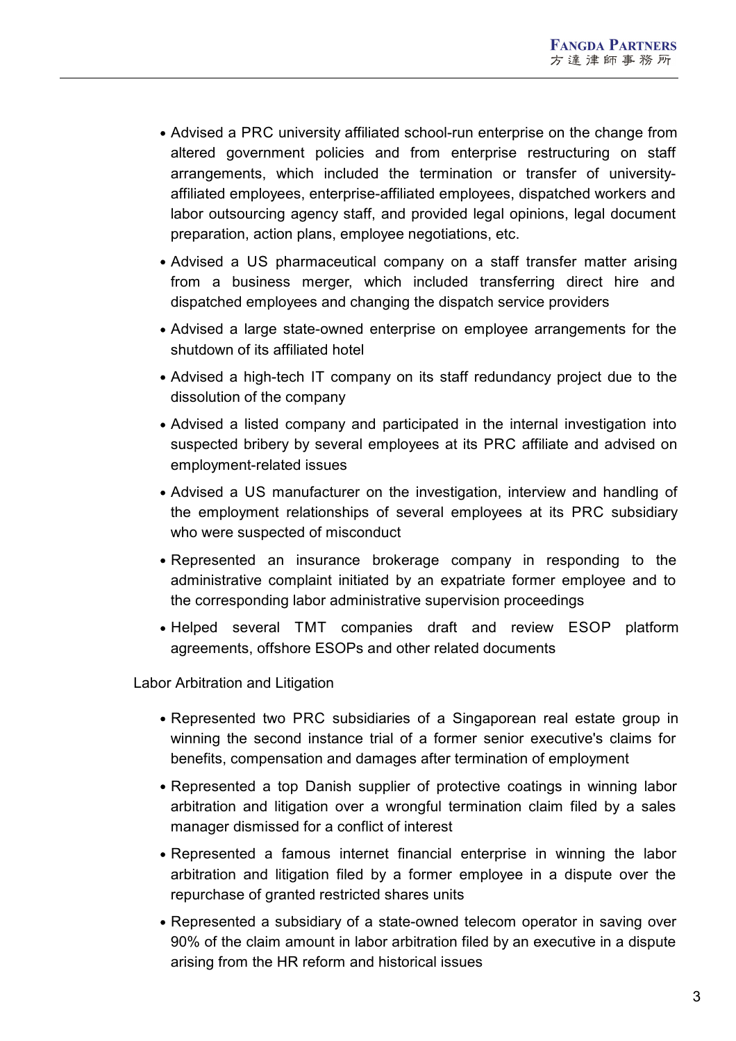- Advised a PRC university affiliated school-run enterprise on the change from altered government policies and from enterprise restructuring on staff arrangements, which included the termination or transfer of university affiliated employees, enterprise-affiliated employees, dispatched workers and labor outsourcing agency staff, and provided legal opinions, legal document preparation, action plans, employee negotiations, etc.
- Advised a US pharmaceutical company on a staff transfer matter arising from a business merger, which included transferring direct hire and dispatched employees and changing the dispatch service providers
- Advised a large state-owned enterprise on employee arrangements for the shutdown of its affiliated hotel
- Advised a high-tech IT company on its staff redundancy project due to the dissolution of the company
- Advised a listed company and participated in the internal investigation into suspected bribery by several employees at its PRC affiliate and advised on employment-related issues
- Advised a US manufacturer on the investigation, interview and handling of the employment relationships of several employees at its PRC subsidiary who were suspected of misconduct
- Represented an insurance brokerage company in responding to the administrative complaint initiated by an expatriate former employee and to the corresponding labor administrative supervision proceedings
- Helped several TMT companies draft and review ESOP platform agreements, offshore ESOPs and other related documents

Labor Arbitration and Litigation

- Represented two PRC subsidiaries of a Singaporean real estate group in winning the second instance trial of a former senior executive's claims for benefits, compensation and damages after termination of employment
- Represented a top Danish supplier of protective coatings in winning labor arbitration and litigation over a wrongful termination claim filed by a sales manager dismissed for a conflict of interest
- Represented a famous internet financial enterprise in winning the labor arbitration and litigation filed by a former employee in a dispute over the repurchase of granted restricted shares units
- Represented a subsidiary of a state-owned telecom operator in saving over 90% of the claim amount in labor arbitration filed by an executive in a dispute arising from the HR reform and historical issues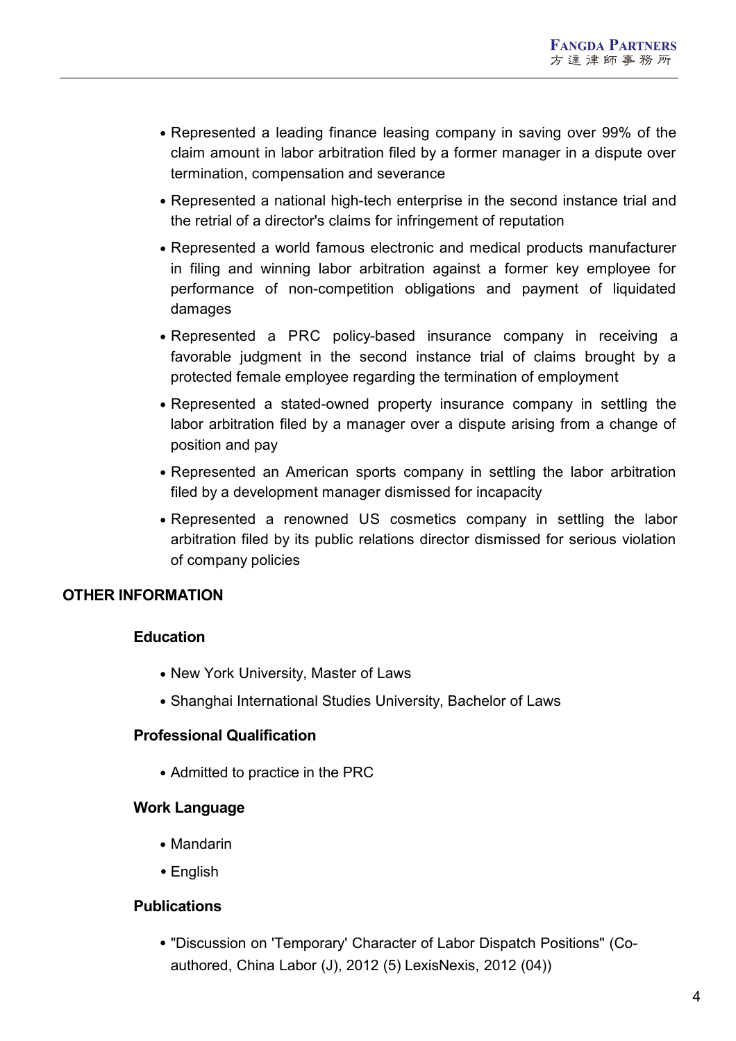- Represented a leading finance leasing company in saving over 99% of the claim amount in labor arbitration filed by a former manager in a dispute over termination, compensation and severance
- Represented a national high-tech enterprise in the second instance trial and the retrial of a director's claims for infringement of reputation
- Represented a world famous electronic and medical products manufacturer in filing and winning labor arbitration against a former key employee for performance of non-competition obligations and payment of liquidated damages
- Represented a PRC policy-based insurance company in receiving a favorable judgment in the second instance trial of claims brought by a protected female employee regarding the termination of employment
- Represented a stated-owned property insurance company in settling the labor arbitration filed by a manager over a dispute arising from a change of position and pay
- Represented an American sports company in settling the labor arbitration filed by a development manager dismissed for incapacity
- Represented a renowned US cosmetics company in settling the labor arbitration filed by its public relations director dismissed for serious violation of company policies

## **OTHER INFORMATION**

#### **Education**

- New York University, Master of Laws
- Shanghai International Studies University, Bachelor of Laws

#### **Professional Qualification**

• Admitted to practice in the PRC

#### **Work Language**

- Mandarin
- English

#### **Publications**

"Discussion on 'Temporary' Character of Labor Dispatch Positions" (Coauthored, China Labor (J), 2012 (5) LexisNexis, 2012 (04))